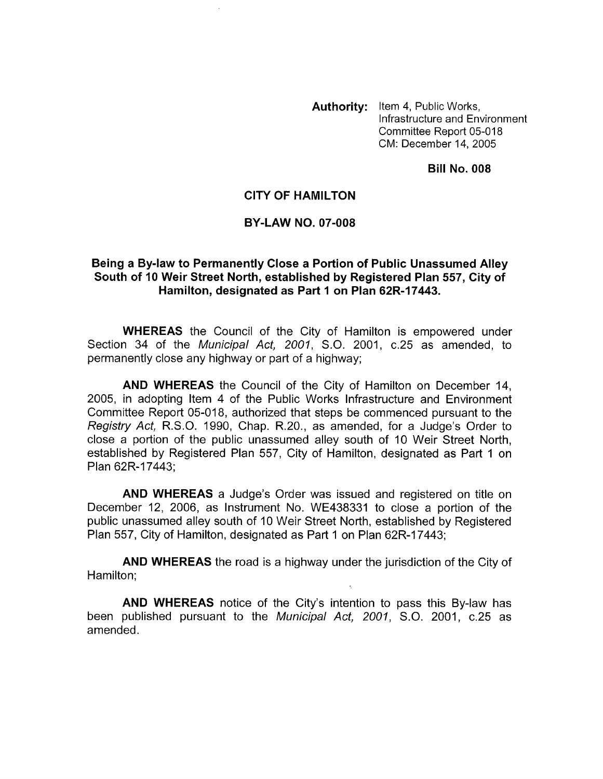**Authority:** Item 4, Public Works, Infrastructure and Environment Committee Report 05-018 CM: December 14,2005

**Bill No. 008** 

## **CITY OF HAMILTON**

## **BY-LAW NO. 07-008**

## **Being a By-law to Permanently Close a Portion of Public Unassumed Alley South of I0 Weir Street North, established by Registered Plan 557, City of Hamilton, designated as Part I on Plan 62R-17443.**

**WHEREAS** the Council of the City of Hamilton is empowered under Section 34 of the *Municipal Act, 2001, S.O.* 2001, c.25 as amended, to permanently close any highway or part of a highway;

**AND WHEREAS** the Council of the City of Hamilton on December 14, 2005, in adopting Item 4 of the Public Works Infrastructure and Environment Committee Report 05-018, authorized that steps be commenced pursuant to the *Registry Act,* R.S.O. 1990, Chap. R.20., as amended, for a Judge's Order to close a portion of the public unassumed alley south of 10 Weir Street North, established by Registered Plan 557, City of Hamilton, designated as Part 1 on Plan 62R-17443;

**AND WHEREAS** a Judge's Order was issued and registered on title on December 12, 2006, as Instrument No. WE438331 to close a portion of the public unassumed alley south of 10 Weir Street North, established by Registered Plan 557, City of Hamilton, designated as Part 1 on Plan 62R-17443;

**AND WHEREAS** the road is a highway under the jurisdiction of the City of Hamilton;

**AND WHEREAS** notice of the City's intention to pass this By-law has been published pursuant to the *Municipal Act, 2001, S.O.* 2001, c.25 as amended.